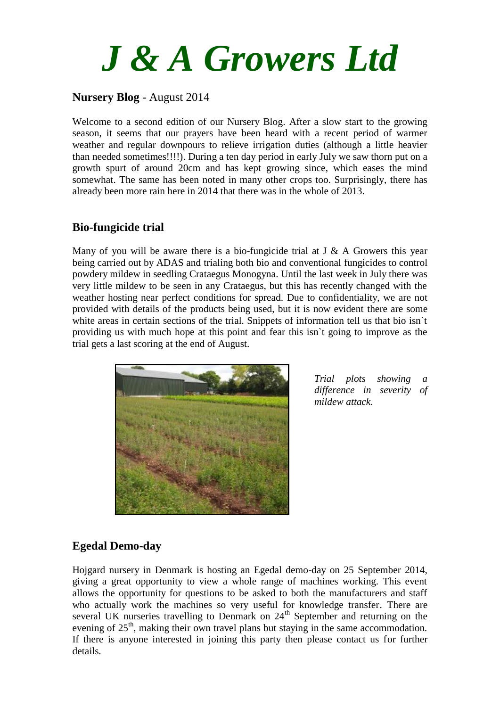

### **Nursery Blog** - August 2014

Welcome to a second edition of our Nursery Blog. After a slow start to the growing season, it seems that our prayers have been heard with a recent period of warmer weather and regular downpours to relieve irrigation duties (although a little heavier than needed sometimes!!!!). During a ten day period in early July we saw thorn put on a growth spurt of around 20cm and has kept growing since, which eases the mind somewhat. The same has been noted in many other crops too. Surprisingly, there has already been more rain here in 2014 that there was in the whole of 2013.

#### **Bio-fungicide trial**

Many of you will be aware there is a bio-fungicide trial at  $J \& A$  Growers this year being carried out by ADAS and trialing both bio and conventional fungicides to control powdery mildew in seedling Crataegus Monogyna. Until the last week in July there was very little mildew to be seen in any Crataegus, but this has recently changed with the weather hosting near perfect conditions for spread. Due to confidentiality, we are not provided with details of the products being used, but it is now evident there are some white areas in certain sections of the trial. Snippets of information tell us that bio isn't providing us with much hope at this point and fear this isn`t going to improve as the trial gets a last scoring at the end of August.



*Trial plots showing a difference in severity of mildew attack.*

### **Egedal Demo-day**

Hojgard nursery in Denmark is hosting an Egedal demo-day on 25 September 2014, giving a great opportunity to view a whole range of machines working. This event allows the opportunity for questions to be asked to both the manufacturers and staff who actually work the machines so very useful for knowledge transfer. There are several UK nurseries travelling to Denmark on  $24<sup>th</sup>$  September and returning on the evening of 25<sup>th</sup>, making their own travel plans but staying in the same accommodation. If there is anyone interested in joining this party then please contact us for further details.